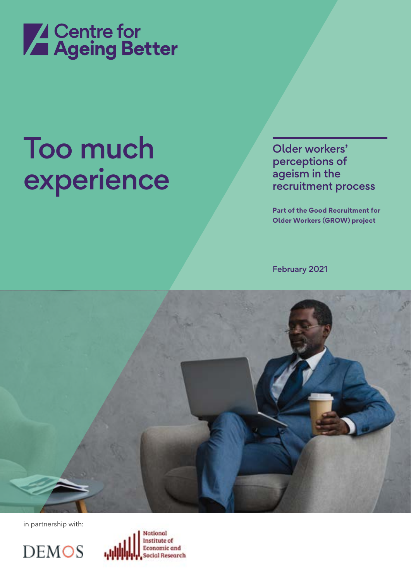

# Too much experience

Older workers' perceptions of ageism in the recruitment process

**Part of the Good Recruitment for Older Workers (GROW) project**

February 2021



in partnership with:

**DEMOS** 

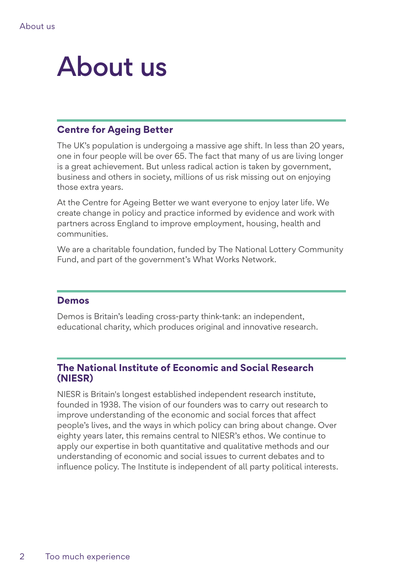## About us

### **Centre for Ageing Better**

The UK's population is undergoing a massive age shift. In less than 20 years, one in four people will be over 65. The fact that many of us are living longer is a great achievement. But unless radical action is taken by government, business and others in society, millions of us risk missing out on enjoying those extra years.

At the Centre for Ageing Better we want everyone to enjoy later life. We create change in policy and practice informed by evidence and work with partners across England to improve employment, housing, health and communities.

We are a charitable foundation, funded by The National Lottery Community Fund, and part of the government's What Works Network.

### **Demos**

Demos is Britain's leading cross-party think-tank: an independent, educational charity, which produces original and innovative research.

### **The National Institute of Economic and Social Research (NIESR)**

NIESR is Britain's longest established independent research institute, founded in 1938. The vision of our founders was to carry out research to improve understanding of the economic and social forces that affect people's lives, and the ways in which policy can bring about change. Over eighty years later, this remains central to NIESR's ethos. We continue to apply our expertise in both quantitative and qualitative methods and our understanding of economic and social issues to current debates and to influence policy. The Institute is independent of all party political interests.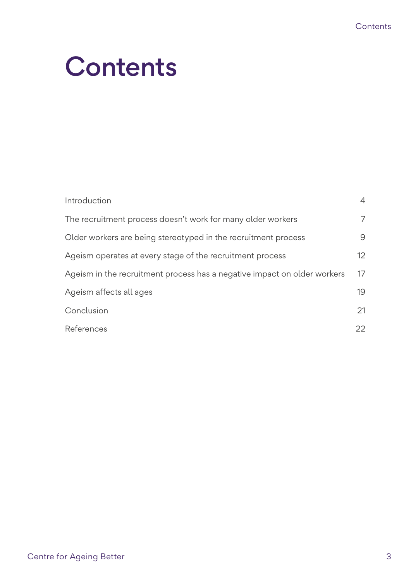## **Contents**

| Introduction                                                             | $\overline{4}$ |
|--------------------------------------------------------------------------|----------------|
| The recruitment process doesn't work for many older workers              | 7              |
| Older workers are being stereotyped in the recruitment process           | 9              |
| Ageism operates at every stage of the recruitment process                | 12             |
| Ageism in the recruitment process has a negative impact on older workers | 17             |
| Ageism affects all ages                                                  | 19             |
| Conclusion                                                               | 21             |
| References                                                               | 22             |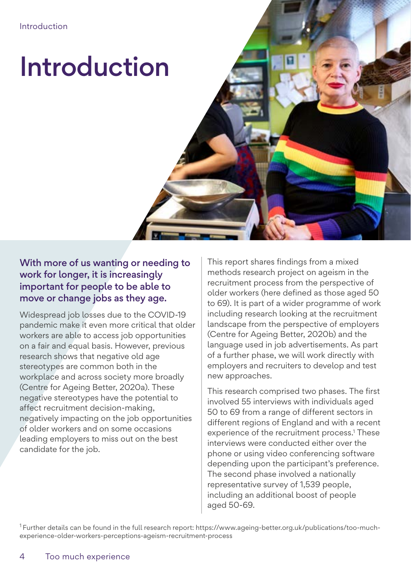# Introduction

With more of us wanting or needing to work for longer, it is increasingly important for people to be able to move or change jobs as they age.

Widespread job losses due to the COVID-19 pandemic make it even more critical that older workers are able to access job opportunities on a fair and equal basis. However, previous research shows that negative old age stereotypes are common both in the workplace and across society more broadly (Centre for Ageing Better, 2020a). These negative stereotypes have the potential to affect recruitment decision-making, negatively impacting on the job opportunities of older workers and on some occasions leading employers to miss out on the best candidate for the job.

This report shares findings from a mixed methods research project on ageism in the recruitment process from the perspective of older workers (here defined as those aged 50 to 69). It is part of a wider programme of work including research looking at the recruitment landscape from the perspective of employers (Centre for Ageing Better, 2020b) and the language used in job advertisements. As part of a further phase, we will work directly with employers and recruiters to develop and test new approaches.

This research comprised two phases. The first involved 55 interviews with individuals aged 50 to 69 from a range of different sectors in different regions of England and with a recent experience of the recruitment process.<sup>1</sup> These interviews were conducted either over the phone or using video conferencing software depending upon the participant's preference. The second phase involved a nationally representative survey of 1,539 people, including an additional boost of people aged 50-69.

<sup>1</sup> Further details can be found in the full research report: https://www.ageing-better.org.uk/publications/too-muchexperience-older-workers-perceptions-ageism-recruitment-process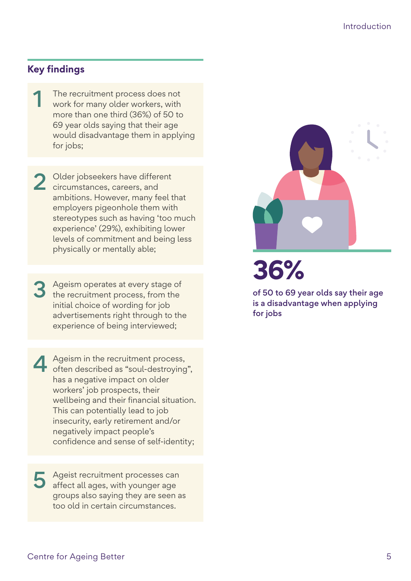## **Key findings**

The recruitment process does not<br>work for many older workers, with more than one third (36%) of 50 to 69 year olds saying that their age would disadvantage them in applying for jobs;

2 Older jobseekers have different<br>circumstances, careers, and ambitions. However, many feel that employers pigeonhole them with stereotypes such as having 'too much experience' (29%), exhibiting lower levels of commitment and being less physically or mentally able;

3 Ageism operates at every stage of the recruitment process, from the initial choice of wording for job advertisements right through to the experience of being interviewed;

Ageism in the recruitment process,<br>
often described as "soul-destroying", has a negative impact on older workers' job prospects, their wellbeing and their financial situation. This can potentially lead to job insecurity, early retirement and/or negatively impact people's confidence and sense of self-identity;

5 Ageist recruitment processes can affect all ages, with younger age groups also saying they are seen as too old in certain circumstances.



**36%**

of 50 to 69 year olds say their age is a disadvantage when applying for jobs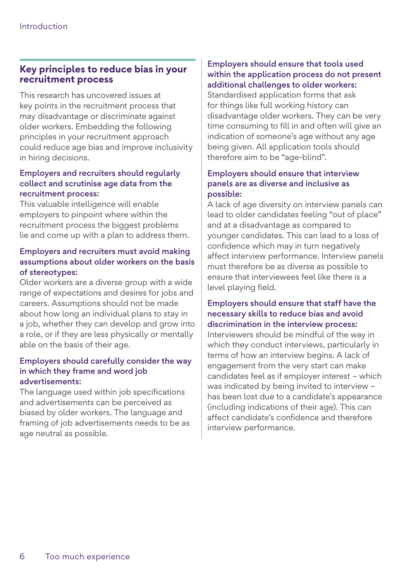## **Key principles to reduce bias in your recruitment process**

This research has uncovered issues at key points in the recruitment process that may disadvantage or discriminate against older workers. Embedding the following principles in your recruitment approach could reduce age bias and improve inclusivity in hiring decisions.

#### Employers and recruiters should regularly collect and scrutinise age data from the recruitment process:

This valuable intelligence will enable employers to pinpoint where within the recruitment process the biggest problems lie and come up with a plan to address them.

### Employers and recruiters must avoid making assumptions about older workers on the basis of stereotypes:

Older workers are a diverse group with a wide range of expectations and desires for jobs and careers. Assumptions should not be made about how long an individual plans to stay in a job, whether they can develop and grow into a role, or if they are less physically or mentally able on the basis of their age.

#### Employers should carefully consider the way in which they frame and word job advertisements:

The language used within job specifications and advertisements can be perceived as biased by older workers. The language and framing of job advertisements needs to be as age neutral as possible.

### Employers should ensure that tools used within the application process do not present additional challenges to older workers:

Standardised application forms that ask for things like full working history can disadvantage older workers. They can be very time consuming to fill in and often will give an indication of someone's age without any age being given. All application tools should therefore aim to be "age-blind".

#### Employers should ensure that interview panels are as diverse and inclusive as possible:

A lack of age diversity on interview panels can lead to older candidates feeling "out of place" and at a disadvantage as compared to younger candidates. This can lead to a loss of confidence which may in turn negatively affect interview performance. Interview panels must therefore be as diverse as possible to ensure that interviewees feel like there is a level playing field.

### Employers should ensure that staff have the necessary skills to reduce bias and avoid discrimination in the interview process:

Interviewers should be mindful of the way in which they conduct interviews, particularly in terms of how an interview begins. A lack of engagement from the very start can make candidates feel as if employer interest – which was indicated by being invited to interview – has been lost due to a candidate's appearance (including indications of their age). This can affect candidate's confidence and therefore interview performance.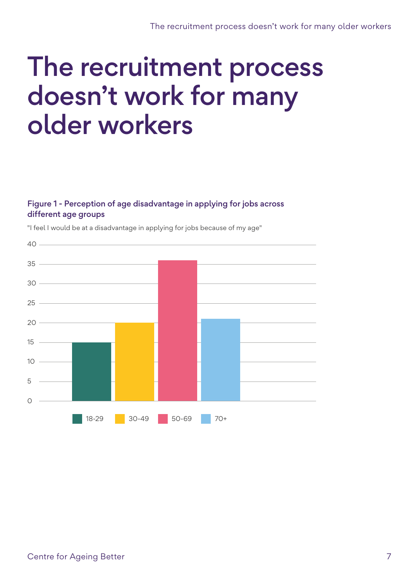## The recruitment process doesn't work for many older workers

### Figure 1 - Perception of age disadvantage in applying for jobs across different age groups



"I feel I would be at a disadvantage in applying for jobs because of my age"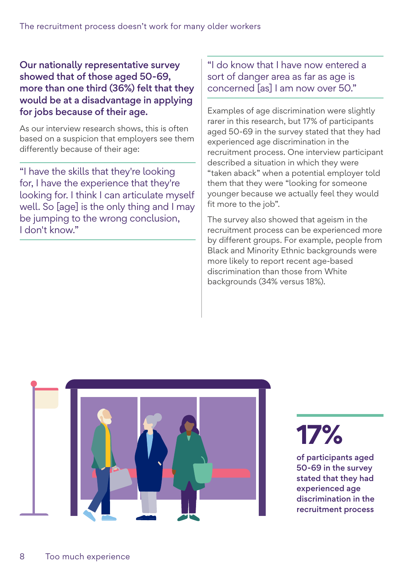Our nationally representative survey showed that of those aged 50-69, more than one third (36%) felt that they would be at a disadvantage in applying for jobs because of their age.

As our interview research shows, this is often based on a suspicion that employers see them differently because of their age:

"I have the skills that they're looking for, I have the experience that they're looking for. I think I can articulate myself well. So [age] is the only thing and I may be jumping to the wrong conclusion, I don't know."

"I do know that I have now entered a sort of danger area as far as age is concerned [as] I am now over 50."

Examples of age discrimination were slightly rarer in this research, but 17% of participants aged 50-69 in the survey stated that they had experienced age discrimination in the recruitment process. One interview participant described a situation in which they were "taken aback" when a potential employer told them that they were "looking for someone younger because we actually feel they would fit more to the job".

The survey also showed that ageism in the recruitment process can be experienced more by different groups. For example, people from Black and Minority Ethnic backgrounds were more likely to report recent age-based discrimination than those from White backgrounds (34% versus 18%).



**17%**

of participants aged 50-69 in the survey stated that they had experienced age discrimination in the recruitment process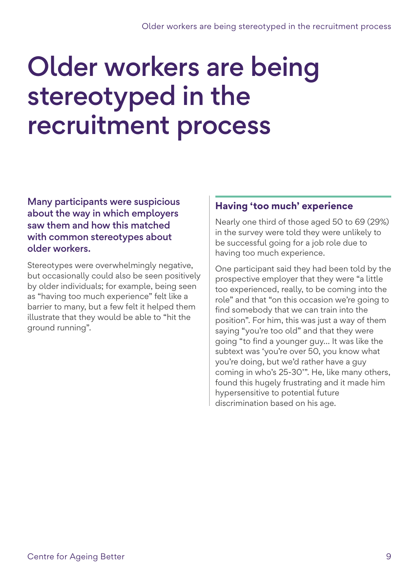## Older workers are being stereotyped in the recruitment process

Many participants were suspicious about the way in which employers saw them and how this matched with common stereotypes about older workers.

Stereotypes were overwhelmingly negative, but occasionally could also be seen positively by older individuals; for example, being seen as "having too much experience" felt like a barrier to many, but a few felt it helped them illustrate that they would be able to "hit the ground running".

### **Having 'too much' experience**

Nearly one third of those aged 50 to 69 (29%) in the survey were told they were unlikely to be successful going for a job role due to having too much experience.

One participant said they had been told by the prospective employer that they were "a little too experienced, really, to be coming into the role" and that "on this occasion we're going to find somebody that we can train into the position". For him, this was just a way of them saying "you're too old" and that they were going "to find a younger guy… It was like the subtext was 'you're over 50, you know what you're doing, but we'd rather have a guy coming in who's 25-30'". He, like many others, found this hugely frustrating and it made him hypersensitive to potential future discrimination based on his age.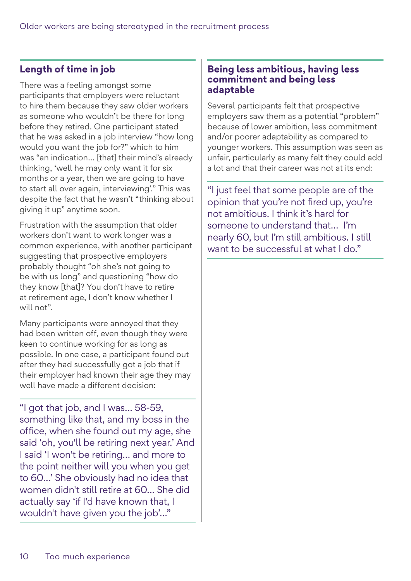## **Length of time in job**

There was a feeling amongst some participants that employers were reluctant to hire them because they saw older workers as someone who wouldn't be there for long before they retired. One participant stated that he was asked in a job interview "how long would you want the job for?" which to him was "an indication… [that] their mind's already thinking, 'well he may only want it for six months or a year, then we are going to have to start all over again, interviewing'." This was despite the fact that he wasn't "thinking about giving it up" anytime soon.

Frustration with the assumption that older workers don't want to work longer was a common experience, with another participant suggesting that prospective employers probably thought "oh she's not going to be with us long" and questioning "how do they know [that]? You don't have to retire at retirement age, I don't know whether I will not".

Many participants were annoyed that they had been written off, even though they were keen to continue working for as long as possible. In one case, a participant found out after they had successfully got a job that if their employer had known their age they may well have made a different decision:

"I got that job, and I was… 58-59, something like that, and my boss in the office, when she found out my age, she said 'oh, you'll be retiring next year.' And I said 'I won't be retiring… and more to the point neither will you when you get to 60…' She obviously had no idea that women didn't still retire at 60… She did actually say 'if I'd have known that, I wouldn't have given you the job'…"

### **Being less ambitious, having less commitment and being less adaptable**

Several participants felt that prospective employers saw them as a potential "problem" because of lower ambition, less commitment and/or poorer adaptability as compared to younger workers. This assumption was seen as unfair, particularly as many felt they could add a lot and that their career was not at its end:

"I just feel that some people are of the opinion that you're not fired up, you're not ambitious. I think it's hard for someone to understand that… I'm nearly 60, but I'm still ambitious. I still want to be successful at what I do."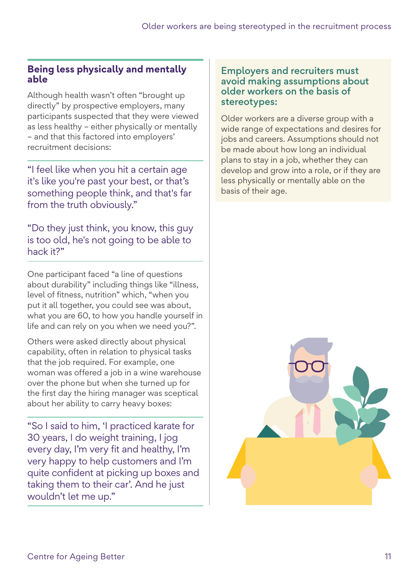### **Being less physically and mentally able**

Although health wasn't often "brought up directly" by prospective employers, many participants suspected that they were viewed as less healthy – either physically or mentally – and that this factored into employers' recruitment decisions:

"I feel like when you hit a certain age it's like you're past your best, or that's something people think, and that's far from the truth obviously."

"Do they just think, you know, this guy is too old, he's not going to be able to hack it?"

One participant faced "a line of questions about durability" including things like "illness, level of fitness, nutrition" which, "when you put it all together, you could see was about, what you are 60, to how you handle yourself in life and can rely on you when we need you?".

Others were asked directly about physical capability, often in relation to physical tasks that the job required. For example, one woman was offered a job in a wine warehouse over the phone but when she turned up for the first day the hiring manager was sceptical about her ability to carry heavy boxes:

"So I said to him, 'I practiced karate for 30 years, I do weight training, I jog every day, I'm very fit and healthy, I'm very happy to help customers and I'm quite confident at picking up boxes and taking them to their car'. And he just wouldn't let me up."

### Employers and recruiters must avoid making assumptions about older workers on the basis of stereotypes:

Older workers are a diverse group with a wide range of expectations and desires for jobs and careers. Assumptions should not be made about how long an individual plans to stay in a job, whether they can develop and grow into a role, or if they are less physically or mentally able on the basis of their age.

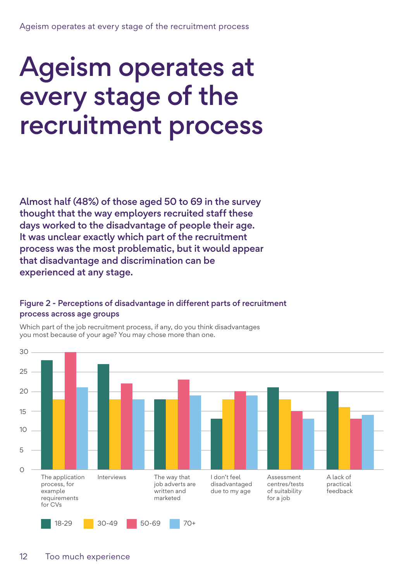## Ageism operates at every stage of the recruitment process

Almost half (48%) of those aged 50 to 69 in the survey thought that the way employers recruited staff these days worked to the disadvantage of people their age. It was unclear exactly which part of the recruitment process was the most problematic, but it would appear that disadvantage and discrimination can be experienced at any stage.

### Figure 2 - Perceptions of disadvantage in different parts of recruitment process across age groups



Which part of the job recruitment process, if any, do you think disadvantages you most because of your age? You may chose more than one.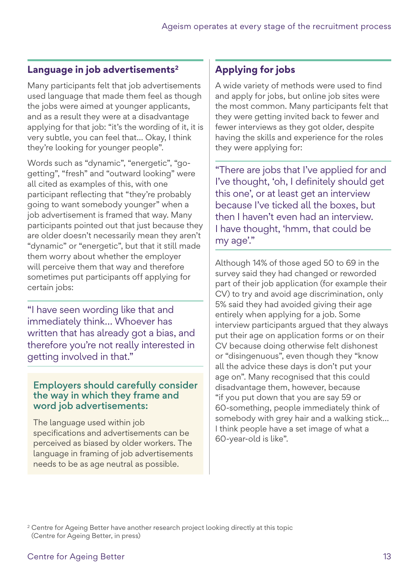### **Language in job advertisements2**

Many participants felt that job advertisements used language that made them feel as though the jobs were aimed at younger applicants, and as a result they were at a disadvantage applying for that job: "it's the wording of it, it is very subtle, you can feel that… Okay, I think they're looking for younger people".

Words such as "dynamic", "energetic", "gogetting", "fresh" and "outward looking" were all cited as examples of this, with one participant reflecting that "they're probably going to want somebody younger" when a job advertisement is framed that way. Many participants pointed out that just because they are older doesn't necessarily mean they aren't "dynamic" or "energetic", but that it still made them worry about whether the employer will perceive them that way and therefore sometimes put participants off applying for certain jobs:

"I have seen wording like that and immediately think… Whoever has written that has already got a bias, and therefore you're not really interested in getting involved in that."

### Employers should carefully consider the way in which they frame and word job advertisements:

The language used within job specifications and advertisements can be perceived as biased by older workers. The language in framing of job advertisements needs to be as age neutral as possible.

## **Applying for jobs**

A wide variety of methods were used to find and apply for jobs, but online job sites were the most common. Many participants felt that they were getting invited back to fewer and fewer interviews as they got older, despite having the skills and experience for the roles they were applying for:

"There are jobs that I've applied for and I've thought, 'oh, I definitely should get this one', or at least get an interview because I've ticked all the boxes, but then I haven't even had an interview. I have thought, 'hmm, that could be my age'."

Although 14% of those aged 50 to 69 in the survey said they had changed or reworded part of their job application (for example their CV) to try and avoid age discrimination, only 5% said they had avoided giving their age entirely when applying for a job. Some interview participants argued that they always put their age on application forms or on their CV because doing otherwise felt dishonest or "disingenuous", even though they "know all the advice these days is don't put your age on". Many recognised that this could disadvantage them, however, because "if you put down that you are say 59 or 60-something, people immediately think of somebody with grey hair and a walking stick… I think people have a set image of what a 60-year-old is like".

<sup>2</sup> Centre for Ageing Better have another research project looking directly at this topic (Centre for Ageing Better, in press)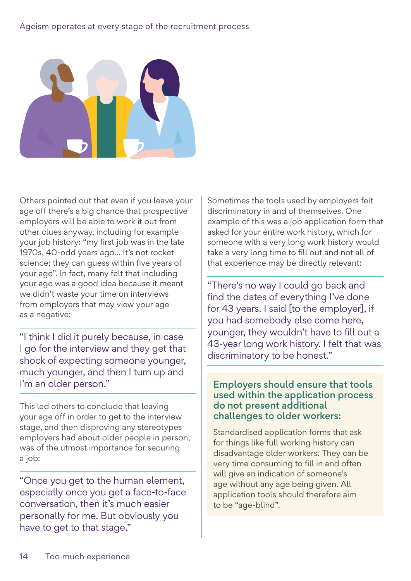#### Ageism operates at every stage of the recruitment process



Others pointed out that even if you leave your age off there's a big chance that prospective employers will be able to work it out from other clues anyway, including for example your job history: "my first job was in the late 1970s, 40-odd years ago… It's not rocket science; they can guess within five years of your age". In fact, many felt that including your age was a good idea because it meant we didn't waste your time on interviews from employers that may view your age as a negative:

"I think I did it purely because, in case I go for the interview and they get that shock of expecting someone younger, much younger, and then I turn up and I'm an older person."

This led others to conclude that leaving your age off in order to get to the interview stage, and then disproving any stereotypes employers had about older people in person, was of the utmost importance for securing a job:

"Once you get to the human element, especially once you get a face-to-face conversation, then it's much easier personally for me. But obviously you have to get to that stage."

Sometimes the tools used by employers felt discriminatory in and of themselves. One example of this was a job application form that asked for your entire work history, which for someone with a very long work history would take a very long time to fill out and not all of that experience may be directly relevant:

"There's no way I could go back and find the dates of everything I've done for 43 years. I said [to the employer], if you had somebody else come here, younger, they wouldn't have to fill out a 43-year long work history. I felt that was discriminatory to be honest."

### Employers should ensure that tools used within the application process do not present additional challenges to older workers:

Standardised application forms that ask for things like full working history can disadvantage older workers. They can be very time consuming to fill in and often will give an indication of someone's age without any age being given. All application tools should therefore aim to be "age-blind".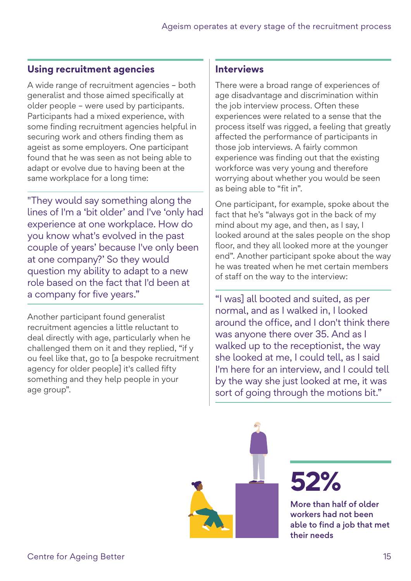## **Using recruitment agencies**

A wide range of recruitment agencies – both generalist and those aimed specifically at older people – were used by participants. Participants had a mixed experience, with some finding recruitment agencies helpful in securing work and others finding them as ageist as some employers. One participant found that he was seen as not being able to adapt or evolve due to having been at the same workplace for a long time:

"They would say something along the lines of I'm a 'bit older' and I've 'only had experience at one workplace. How do you know what's evolved in the past couple of years' because I've only been at one company?' So they would question my ability to adapt to a new role based on the fact that I'd been at a company for five years."

Another participant found generalist recruitment agencies a little reluctant to deal directly with age, particularly when he challenged them on it and they replied, "if y ou feel like that, go to [a bespoke recruitment agency for older people] it's called fifty something and they help people in your age group".

### **Interviews**

There were a broad range of experiences of age disadvantage and discrimination within the job interview process. Often these experiences were related to a sense that the process itself was rigged, a feeling that greatly affected the performance of participants in those job interviews. A fairly common experience was finding out that the existing workforce was very young and therefore worrying about whether you would be seen as being able to "fit in".

One participant, for example, spoke about the fact that he's "always got in the back of my mind about my age, and then, as I say, I looked around at the sales people on the shop floor, and they all looked more at the younger end". Another participant spoke about the way he was treated when he met certain members of staff on the way to the interview:

"I was] all booted and suited, as per normal, and as I walked in, I looked around the office, and I don't think there was anyone there over 35. And as I walked up to the receptionist, the way she looked at me, I could tell, as I said I'm here for an interview, and I could tell by the way she just looked at me, it was sort of going through the motions bit."

**52%**

More than half of older workers had not been able to find a job that met their needs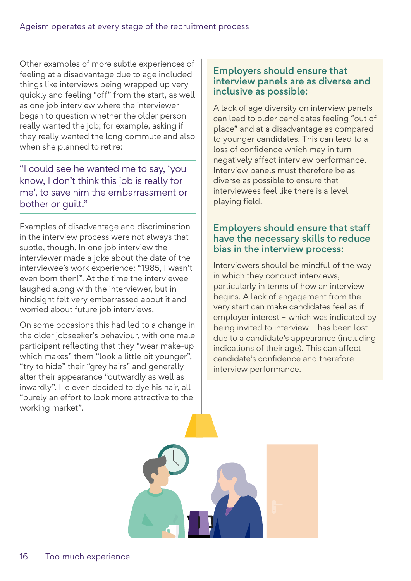Other examples of more subtle experiences of feeling at a disadvantage due to age included things like interviews being wrapped up very quickly and feeling "off" from the start, as well as one job interview where the interviewer began to question whether the older person really wanted the job; for example, asking if they really wanted the long commute and also when she planned to retire:

"I could see he wanted me to say, 'you know, I don't think this job is really for me', to save him the embarrassment or bother or guilt."

Examples of disadvantage and discrimination in the interview process were not always that subtle, though. In one job interview the interviewer made a joke about the date of the interviewee's work experience: "1985, I wasn't even born then!". At the time the interviewee laughed along with the interviewer, but in hindsight felt very embarrassed about it and worried about future job interviews.

On some occasions this had led to a change in the older jobseeker's behaviour, with one male participant reflecting that they "wear make-up which makes" them "look a little bit younger", "try to hide" their "grey hairs" and generally alter their appearance "outwardly as well as inwardly". He even decided to dye his hair, all "purely an effort to look more attractive to the working market".

### Employers should ensure that interview panels are as diverse and inclusive as possible:

A lack of age diversity on interview panels can lead to older candidates feeling "out of place" and at a disadvantage as compared to younger candidates. This can lead to a loss of confidence which may in turn negatively affect interview performance. Interview panels must therefore be as diverse as possible to ensure that interviewees feel like there is a level playing field.

### Employers should ensure that staff have the necessary skills to reduce bias in the interview process:

Interviewers should be mindful of the way in which they conduct interviews, particularly in terms of how an interview begins. A lack of engagement from the very start can make candidates feel as if employer interest – which was indicated by being invited to interview – has been lost due to a candidate's appearance (including indications of their age). This can affect candidate's confidence and therefore interview performance.

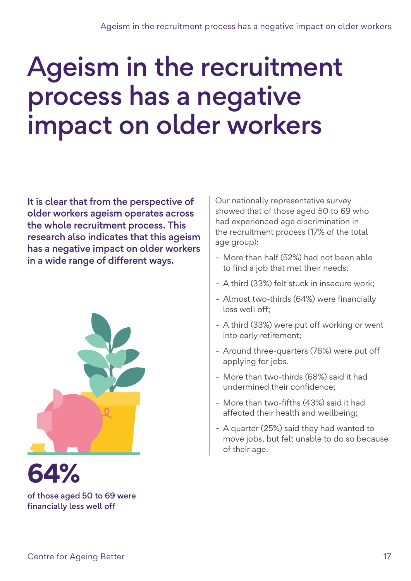## Ageism in the recruitment process has a negative impact on older workers

It is clear that from the perspective of older workers ageism operates across the whole recruitment process. This research also indicates that this ageism has a negative impact on older workers in a wide range of different ways.





of those aged 50 to 69 were financially less well off

Our nationally representative survey showed that of those aged 50 to 69 who had experienced age discrimination in the recruitment process (17% of the total age group):

- More than half (52%) had not been able to find a job that met their needs;
- A third (33%) felt stuck in insecure work;
- Almost two-thirds (64%) were financially less well off;
- A third (33%) were put off working or went into early retirement;
- Around three-quarters (76%) were put off applying for jobs.
- More than two-thirds (68%) said it had undermined their confidence;
- More than two-fifths (43%) said it had affected their health and wellbeing;
- A quarter (25%) said they had wanted to move jobs, but felt unable to do so because of their age.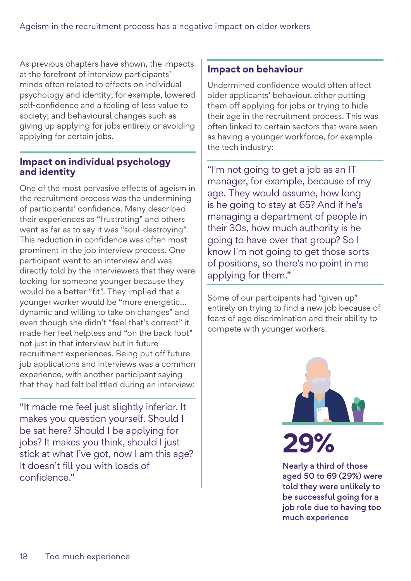As previous chapters have shown, the impacts at the forefront of interview participants' minds often related to effects on individual psychology and identity; for example, lowered self-confidence and a feeling of less value to society; and behavioural changes such as giving up applying for jobs entirely or avoiding applying for certain jobs.

### **Impact on individual psychology and identity**

One of the most pervasive effects of ageism in the recruitment process was the undermining of participants' confidence. Many described their experiences as "frustrating" and others went as far as to say it was "soul-destroying". This reduction in confidence was often most prominent in the job interview process. One participant went to an interview and was directly told by the interviewers that they were looking for someone younger because they would be a better "fit". They implied that a younger worker would be "more energetic… dynamic and willing to take on changes" and even though she didn't "feel that's correct" it made her feel helpless and "on the back foot" not just in that interview but in future recruitment experiences. Being put off future job applications and interviews was a common experience, with another participant saying that they had felt belittled during an interview:

"It made me feel just slightly inferior. It makes you question yourself. Should I be sat here? Should I be applying for jobs? It makes you think, should I just stick at what I've got, now I am this age? It doesn't fill you with loads of confidence."

### **Impact on behaviour**

Undermined confidence would often affect older applicants' behaviour, either putting them off applying for jobs or trying to hide their age in the recruitment process. This was often linked to certain sectors that were seen as having a younger workforce, for example the tech industry:

"I'm not going to get a job as an IT manager, for example, because of my age. They would assume, how long is he going to stay at 65? And if he's managing a department of people in their 30s, how much authority is he going to have over that group? So I know I'm not going to get those sorts of positions, so there's no point in me applying for them."

Some of our participants had "given up" entirely on trying to find a new job because of fears of age discrimination and their ability to compete with younger workers.



Nearly a third of those aged 50 to 69 (29%) were told they were unlikely to be successful going for a job role due to having too much experience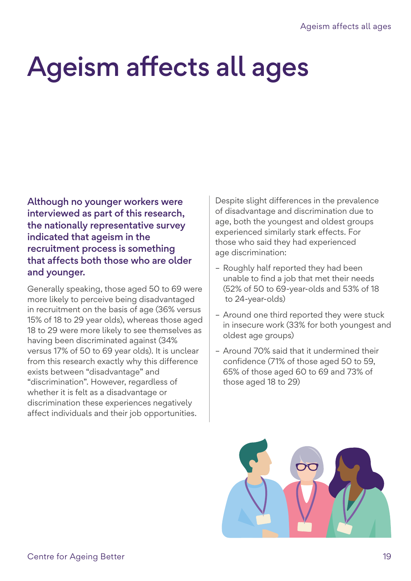# Ageism affects all ages

Although no younger workers were interviewed as part of this research, the nationally representative survey indicated that ageism in the recruitment process is something that affects both those who are older and younger.

Generally speaking, those aged 50 to 69 were more likely to perceive being disadvantaged in recruitment on the basis of age (36% versus 15% of 18 to 29 year olds), whereas those aged 18 to 29 were more likely to see themselves as having been discriminated against (34% versus 17% of 50 to 69 year olds). It is unclear from this research exactly why this difference exists between "disadvantage" and "discrimination". However, regardless of whether it is felt as a disadvantage or discrimination these experiences negatively affect individuals and their job opportunities.

Despite slight differences in the prevalence of disadvantage and discrimination due to age, both the youngest and oldest groups experienced similarly stark effects. For those who said they had experienced age discrimination:

- Roughly half reported they had been unable to find a job that met their needs (52% of 50 to 69-year-olds and 53% of 18 to 24-year-olds)
- Around one third reported they were stuck in insecure work (33% for both youngest and oldest age groups)
- Around 70% said that it undermined their confidence (71% of those aged 50 to 59, 65% of those aged 60 to 69 and 73% of those aged 18 to 29)

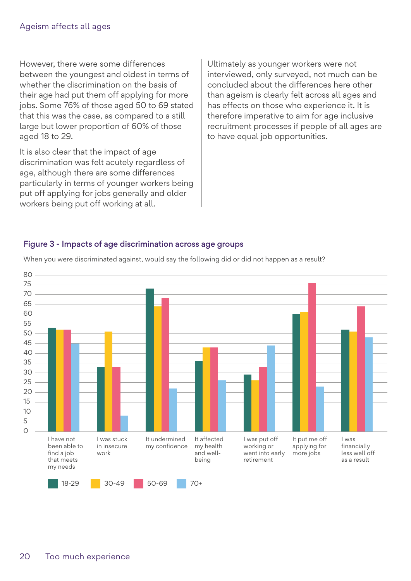However, there were some differences between the youngest and oldest in terms of whether the discrimination on the basis of their age had put them off applying for more jobs. Some 76% of those aged 50 to 69 stated that this was the case, as compared to a still large but lower proportion of 60% of those aged 18 to 29.

It is also clear that the impact of age discrimination was felt acutely regardless of age, although there are some differences particularly in terms of younger workers being put off applying for jobs generally and older workers being put off working at all.

Ultimately as younger workers were not interviewed, only surveyed, not much can be concluded about the differences here other than ageism is clearly felt across all ages and has effects on those who experience it. It is therefore imperative to aim for age inclusive recruitment processes if people of all ages are to have equal job opportunities.

#### Figure 3 - Impacts of age discrimination across age groups



When you were discriminated against, would say the following did or did not happen as a result?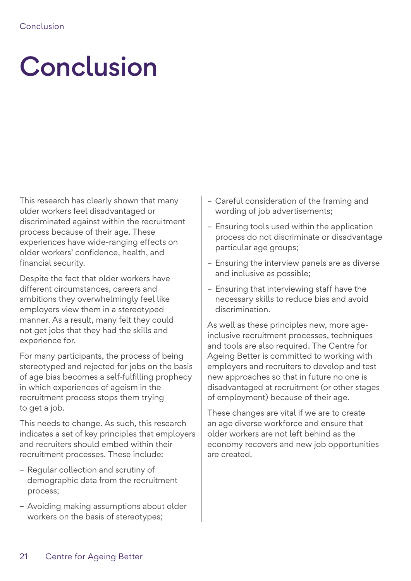# Conclusion

This research has clearly shown that many older workers feel disadvantaged or discriminated against within the recruitment process because of their age. These experiences have wide-ranging effects on older workers' confidence, health, and financial security.

Despite the fact that older workers have different circumstances, careers and ambitions they overwhelmingly feel like employers view them in a stereotyped manner. As a result, many felt they could not get jobs that they had the skills and experience for.

For many participants, the process of being stereotyped and rejected for jobs on the basis of age bias becomes a self-fulfilling prophecy in which experiences of ageism in the recruitment process stops them trying to get a job.

This needs to change. As such, this research indicates a set of key principles that employers and recruiters should embed within their recruitment processes. These include:

- Regular collection and scrutiny of demographic data from the recruitment process;
- Avoiding making assumptions about older workers on the basis of stereotypes;
- Careful consideration of the framing and wording of job advertisements;
- Ensuring tools used within the application process do not discriminate or disadvantage particular age groups;
- Ensuring the interview panels are as diverse and inclusive as possible;
- Ensuring that interviewing staff have the necessary skills to reduce bias and avoid discrimination.

As well as these principles new, more ageinclusive recruitment processes, techniques and tools are also required. The Centre for Ageing Better is committed to working with employers and recruiters to develop and test new approaches so that in future no one is disadvantaged at recruitment (or other stages of employment) because of their age.

These changes are vital if we are to create an age diverse workforce and ensure that older workers are not left behind as the economy recovers and new job opportunities are created.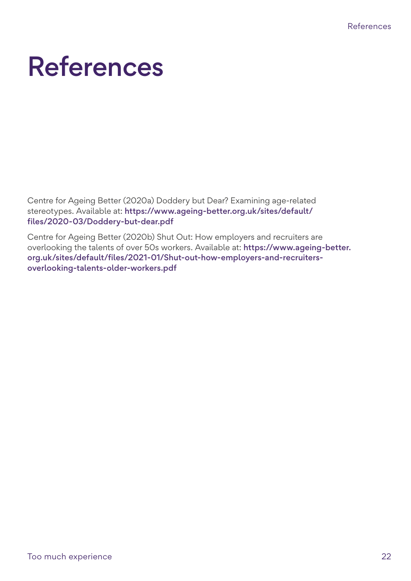## References

Centre for Ageing Better (2020a) Doddery but Dear? Examining age-related stereotypes. Available at: [https://www.ageing-better.org.uk/sites/default/](https://www.ageing-better.org.uk/sites/default/files/2020-03/Doddery-but-dear.pdf) [files/2020-03/Doddery-but-dear.pdf](https://www.ageing-better.org.uk/sites/default/files/2020-03/Doddery-but-dear.pdf)

Centre for Ageing Better (2020b) Shut Out: How employers and recruiters are overlooking the talents of over 50s workers. Available at: [https://www.ageing-better.](https://www.ageing-better.org.uk/sites/default/files/2021-01/Shut-out-how-employers-and-recruiters-overlooking-talents-older-workers.pdf) [org.uk/sites/default/files/2021-01/Shut-out-how-employers-and-recruiters](https://www.ageing-better.org.uk/sites/default/files/2021-01/Shut-out-how-employers-and-recruiters-overlooking-talents-older-workers.pdf)[overlooking-talents-older-workers.pdf](https://www.ageing-better.org.uk/sites/default/files/2021-01/Shut-out-how-employers-and-recruiters-overlooking-talents-older-workers.pdf)